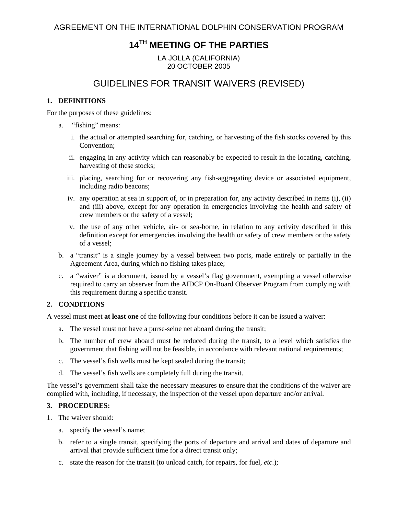# **14TH MEETING OF THE PARTIES**

LA JOLLA (CALIFORNIA) 20 OCTOBER 2005

# GUIDELINES FOR TRANSIT WAIVERS (REVISED)

#### **1. DEFINITIONS**

For the purposes of these guidelines:

- a. "fishing" means:
	- i. the actual or attempted searching for, catching, or harvesting of the fish stocks covered by this Convention;
	- ii. engaging in any activity which can reasonably be expected to result in the locating, catching, harvesting of these stocks;
	- iii. placing, searching for or recovering any fish-aggregating device or associated equipment, including radio beacons;
	- iv. any operation at sea in support of, or in preparation for, any activity described in items (i), (ii) and (iii) above, except for any operation in emergencies involving the health and safety of crew members or the safety of a vessel;
	- v. the use of any other vehicle, air- or sea-borne, in relation to any activity described in this definition except for emergencies involving the health or safety of crew members or the safety of a vessel;
- b. a "transit" is a single journey by a vessel between two ports, made entirely or partially in the Agreement Area, during which no fishing takes place;
- c. a "waiver" is a document, issued by a vessel's flag government, exempting a vessel otherwise required to carry an observer from the AIDCP On-Board Observer Program from complying with this requirement during a specific transit.

## **2. CONDITIONS**

A vessel must meet **at least one** of the following four conditions before it can be issued a waiver:

- a. The vessel must not have a purse-seine net aboard during the transit;
- b. The number of crew aboard must be reduced during the transit, to a level which satisfies the government that fishing will not be feasible, in accordance with relevant national requirements;
- c. The vessel's fish wells must be kept sealed during the transit;
- d. The vessel's fish wells are completely full during the transit.

The vessel's government shall take the necessary measures to ensure that the conditions of the waiver are complied with, including, if necessary, the inspection of the vessel upon departure and/or arrival.

## **3. PROCEDURES:**

- 1. The waiver should:
	- a. specify the vessel's name;
	- b. refer to a single transit, specifying the ports of departure and arrival and dates of departure and arrival that provide sufficient time for a direct transit only;
	- c. state the reason for the transit (to unload catch, for repairs, for fuel, *etc*.);